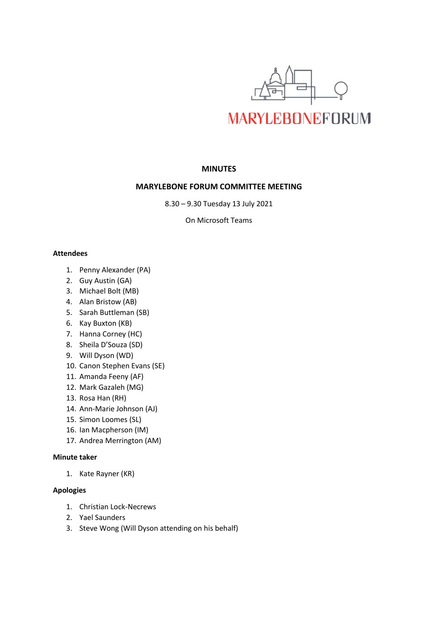

# **MINUTES**

# **MARYLEBONE FORUM COMMITTEE MEETING**

8.30 – 9.30 Tuesday 13 July 2021

On Microsoft Teams

## **Attendees**

- 1. Penny Alexander (PA)
- 2. Guy Austin (GA)
- 3. Michael Bolt (MB)
- 4. Alan Bristow (AB)
- 5. Sarah Buttleman (SB)
- 6. Kay Buxton (KB)
- 7. Hanna Corney (HC)
- 8. Sheila D'Souza (SD)
- 9. Will Dyson (WD)
- 10. Canon Stephen Evans (SE)
- 11. Amanda Feeny (AF)
- 12. Mark Gazaleh (MG)
- 13. Rosa Han (RH)
- 14. Ann-Marie Johnson (AJ)
- 15. Simon Loomes (SL)
- 16. Ian Macpherson (IM)
- 17. Andrea Merrington (AM)

# **Minute taker**

1. Kate Rayner (KR)

# **Apologies**

- 1. Christian Lock-Necrews
- 2. Yael Saunders
- 3. Steve Wong (Will Dyson attending on his behalf)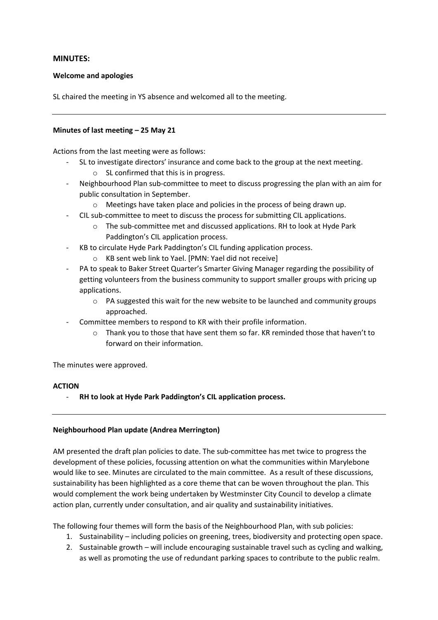# **MINUTES:**

## **Welcome and apologies**

SL chaired the meeting in YS absence and welcomed all to the meeting.

## **Minutes of last meeting – 25 May 21**

Actions from the last meeting were as follows:

- SL to investigate directors' insurance and come back to the group at the next meeting.
	- o SL confirmed that this is in progress.
- Neighbourhood Plan sub-committee to meet to discuss progressing the plan with an aim for public consultation in September.
	- o Meetings have taken place and policies in the process of being drawn up.
- CIL sub-committee to meet to discuss the process for submitting CIL applications.
	- o The sub-committee met and discussed applications. RH to look at Hyde Park Paddington's CIL application process.
- KB to circulate Hyde Park Paddington's CIL funding application process.
	- o KB sent web link to Yael. [PMN: Yael did not receive]
- PA to speak to Baker Street Quarter's Smarter Giving Manager regarding the possibility of getting volunteers from the business community to support smaller groups with pricing up applications.
	- $\circ$  PA suggested this wait for the new website to be launched and community groups approached.
- Committee members to respond to KR with their profile information.
	- $\circ$  Thank you to those that have sent them so far. KR reminded those that haven't to forward on their information.

The minutes were approved.

## **ACTION**

- **RH to look at Hyde Park Paddington's CIL application process.** 

# **Neighbourhood Plan update (Andrea Merrington)**

AM presented the draft plan policies to date. The sub-committee has met twice to progress the development of these policies, focussing attention on what the communities within Marylebone would like to see. Minutes are circulated to the main committee. As a result of these discussions, sustainability has been highlighted as a core theme that can be woven throughout the plan. This would complement the work being undertaken by Westminster City Council to develop a climate action plan, currently under consultation, and air quality and sustainability initiatives.

The following four themes will form the basis of the Neighbourhood Plan, with sub policies:

- 1. Sustainability including policies on greening, trees, biodiversity and protecting open space.
- 2. Sustainable growth will include encouraging sustainable travel such as cycling and walking, as well as promoting the use of redundant parking spaces to contribute to the public realm.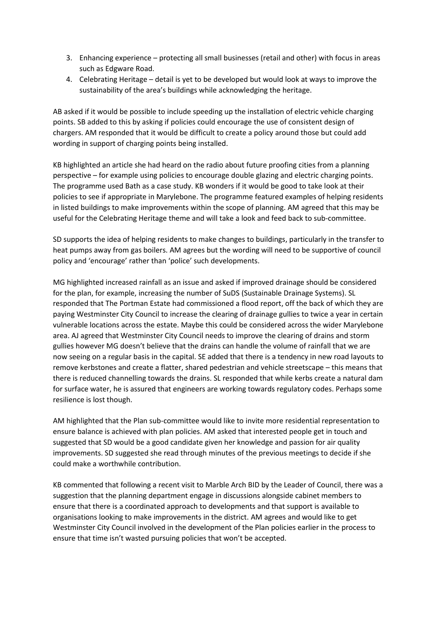- 3. Enhancing experience protecting all small businesses (retail and other) with focus in areas such as Edgware Road.
- 4. Celebrating Heritage detail is yet to be developed but would look at ways to improve the sustainability of the area's buildings while acknowledging the heritage.

AB asked if it would be possible to include speeding up the installation of electric vehicle charging points. SB added to this by asking if policies could encourage the use of consistent design of chargers. AM responded that it would be difficult to create a policy around those but could add wording in support of charging points being installed.

KB highlighted an article she had heard on the radio about future proofing cities from a planning perspective – for example using policies to encourage double glazing and electric charging points. The programme used Bath as a case study. KB wonders if it would be good to take look at their policies to see if appropriate in Marylebone. The programme featured examples of helping residents in listed buildings to make improvements within the scope of planning. AM agreed that this may be useful for the Celebrating Heritage theme and will take a look and feed back to sub-committee.

SD supports the idea of helping residents to make changes to buildings, particularly in the transfer to heat pumps away from gas boilers. AM agrees but the wording will need to be supportive of council policy and 'encourage' rather than 'police' such developments.

MG highlighted increased rainfall as an issue and asked if improved drainage should be considered for the plan, for example, increasing the number of SuDS (Sustainable Drainage Systems). SL responded that The Portman Estate had commissioned a flood report, off the back of which they are paying Westminster City Council to increase the clearing of drainage gullies to twice a year in certain vulnerable locations across the estate. Maybe this could be considered across the wider Marylebone area. AJ agreed that Westminster City Council needs to improve the clearing of drains and storm gullies however MG doesn't believe that the drains can handle the volume of rainfall that we are now seeing on a regular basis in the capital. SE added that there is a tendency in new road layouts to remove kerbstones and create a flatter, shared pedestrian and vehicle streetscape – this means that there is reduced channelling towards the drains. SL responded that while kerbs create a natural dam for surface water, he is assured that engineers are working towards regulatory codes. Perhaps some resilience is lost though.

AM highlighted that the Plan sub-committee would like to invite more residential representation to ensure balance is achieved with plan policies. AM asked that interested people get in touch and suggested that SD would be a good candidate given her knowledge and passion for air quality improvements. SD suggested she read through minutes of the previous meetings to decide if she could make a worthwhile contribution.

KB commented that following a recent visit to Marble Arch BID by the Leader of Council, there was a suggestion that the planning department engage in discussions alongside cabinet members to ensure that there is a coordinated approach to developments and that support is available to organisations looking to make improvements in the district. AM agrees and would like to get Westminster City Council involved in the development of the Plan policies earlier in the process to ensure that time isn't wasted pursuing policies that won't be accepted.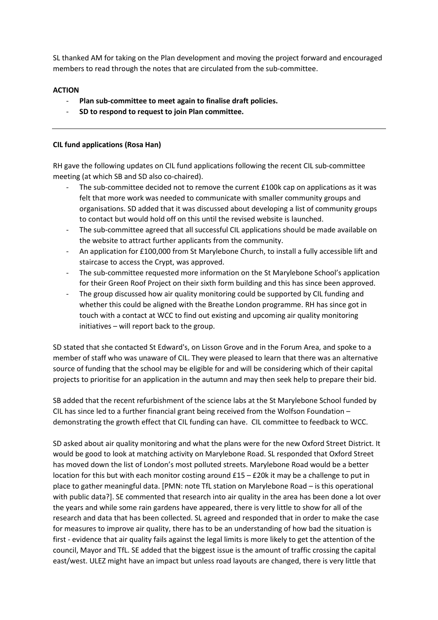SL thanked AM for taking on the Plan development and moving the project forward and encouraged members to read through the notes that are circulated from the sub-committee.

# **ACTION**

- **Plan sub-committee to meet again to finalise draft policies.**
- **SD to respond to request to join Plan committee.**

# **CIL fund applications (Rosa Han)**

RH gave the following updates on CIL fund applications following the recent CIL sub-committee meeting (at which SB and SD also co-chaired).

- The sub-committee decided not to remove the current £100k cap on applications as it was felt that more work was needed to communicate with smaller community groups and organisations. SD added that it was discussed about developing a list of community groups to contact but would hold off on this until the revised website is launched.
- The sub-committee agreed that all successful CIL applications should be made available on the website to attract further applicants from the community.
- An application for £100,000 from St Marylebone Church, to install a fully accessible lift and staircase to access the Crypt, was approved.
- The sub-committee requested more information on the St Marylebone School's application for their Green Roof Project on their sixth form building and this has since been approved.
- The group discussed how air quality monitoring could be supported by CIL funding and whether this could be aligned with the Breathe London programme. RH has since got in touch with a contact at WCC to find out existing and upcoming air quality monitoring initiatives – will report back to the group.

SD stated that she contacted St Edward's, on Lisson Grove and in the Forum Area, and spoke to a member of staff who was unaware of CIL. They were pleased to learn that there was an alternative source of funding that the school may be eligible for and will be considering which of their capital projects to prioritise for an application in the autumn and may then seek help to prepare their bid.

SB added that the recent refurbishment of the science labs at the St Marylebone School funded by CIL has since led to a further financial grant being received from the Wolfson Foundation – demonstrating the growth effect that CIL funding can have. CIL committee to feedback to WCC.

SD asked about air quality monitoring and what the plans were for the new Oxford Street District. It would be good to look at matching activity on Marylebone Road. SL responded that Oxford Street has moved down the list of London's most polluted streets. Marylebone Road would be a better location for this but with each monitor costing around £15 – £20k it may be a challenge to put in place to gather meaningful data. [PMN: note TfL station on Marylebone Road – is this operational with public data?]. SE commented that research into air quality in the area has been done a lot over the years and while some rain gardens have appeared, there is very little to show for all of the research and data that has been collected. SL agreed and responded that in order to make the case for measures to improve air quality, there has to be an understanding of how bad the situation is first - evidence that air quality fails against the legal limits is more likely to get the attention of the council, Mayor and TfL. SE added that the biggest issue is the amount of traffic crossing the capital east/west. ULEZ might have an impact but unless road layouts are changed, there is very little that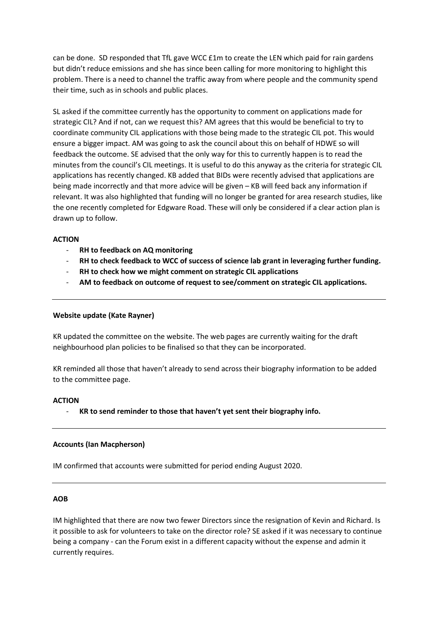can be done. SD responded that TfL gave WCC £1m to create the LEN which paid for rain gardens but didn't reduce emissions and she has since been calling for more monitoring to highlight this problem. There is a need to channel the traffic away from where people and the community spend their time, such as in schools and public places.

SL asked if the committee currently has the opportunity to comment on applications made for strategic CIL? And if not, can we request this? AM agrees that this would be beneficial to try to coordinate community CIL applications with those being made to the strategic CIL pot. This would ensure a bigger impact. AM was going to ask the council about this on behalf of HDWE so will feedback the outcome. SE advised that the only way for this to currently happen is to read the minutes from the council's CIL meetings. It is useful to do this anyway as the criteria for strategic CIL applications has recently changed. KB added that BIDs were recently advised that applications are being made incorrectly and that more advice will be given – KB will feed back any information if relevant. It was also highlighted that funding will no longer be granted for area research studies, like the one recently completed for Edgware Road. These will only be considered if a clear action plan is drawn up to follow.

## **ACTION**

- **RH to feedback on AQ monitoring**
- **RH to check feedback to WCC of success of science lab grant in leveraging further funding.**
- **RH to check how we might comment on strategic CIL applications**
- **AM to feedback on outcome of request to see/comment on strategic CIL applications.**

## **Website update (Kate Rayner)**

KR updated the committee on the website. The web pages are currently waiting for the draft neighbourhood plan policies to be finalised so that they can be incorporated.

KR reminded all those that haven't already to send across their biography information to be added to the committee page.

## **ACTION**

- **KR to send reminder to those that haven't yet sent their biography info.**

## **Accounts (Ian Macpherson)**

IM confirmed that accounts were submitted for period ending August 2020.

## **AOB**

IM highlighted that there are now two fewer Directors since the resignation of Kevin and Richard. Is it possible to ask for volunteers to take on the director role? SE asked if it was necessary to continue being a company - can the Forum exist in a different capacity without the expense and admin it currently requires.